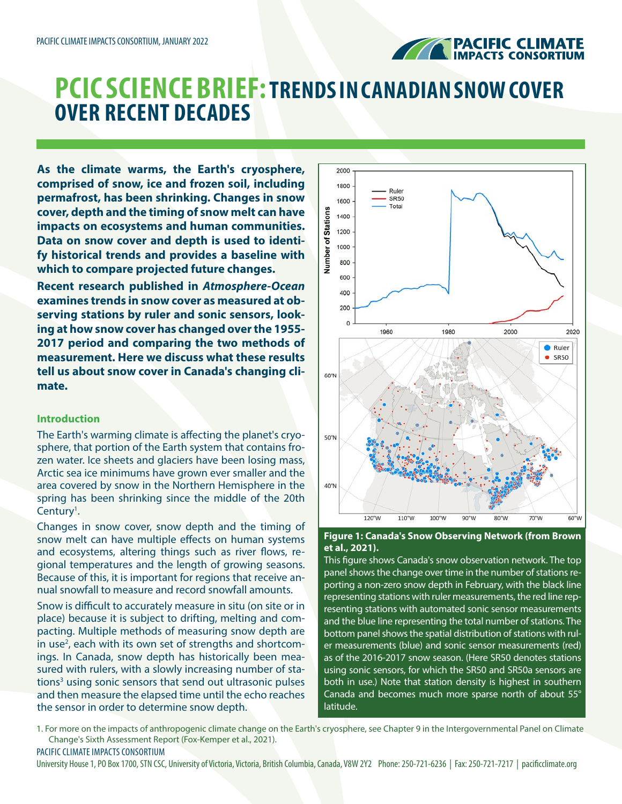

# **PCIC SCIENCE BRIEF:TRENDS IN CANADIAN SNOW COVER OVER RECENT DECADES**

**As the climate warms, the Earth's cryosphere, comprised of snow, ice and frozen soil, including permafrost, has been shrinking. Changes in snow cover, depth and the timing of snow melt can have impacts on ecosystems and human communities. Data on snow cover and depth is used to identify historical trends and provides a baseline with which to compare projected future changes.**

**Recent research published in** *Atmosphere-Ocean* **examines trends in snow cover as measured at observing stations by ruler and sonic sensors, looking at how snow cover has changed over the 1955- 2017 period and comparing the two methods of measurement. Here we discuss what these results tell us about snow cover in Canada's changing climate.**

## **Introduction**

The Earth's warming climate is affecting the planet's cryosphere, that portion of the Earth system that contains frozen water. Ice sheets and glaciers have been losing mass, Arctic sea ice minimums have grown ever smaller and the area covered by snow in the Northern Hemisphere in the spring has been shrinking since the middle of the 20th Century<sup>1</sup>.

Changes in snow cover, snow depth and the timing of snow melt can have multiple effects on human systems and ecosystems, altering things such as river flows, regional temperatures and the length of growing seasons. Because of this, it is important for regions that receive annual snowfall to measure and record snowfall amounts.

Snow is difficult to accurately measure in situ (on site or in place) because it is subject to drifting, melting and compacting. Multiple methods of measuring snow depth are in use<sup>2</sup>, each with its own set of strengths and shortcomings. In Canada, snow depth has historically been measured with rulers, with a slowly increasing number of stations<sup>3</sup> using sonic sensors that send out ultrasonic pulses and then measure the elapsed time until the echo reaches the sensor in order to determine snow depth.



## **Figure 1: Canada's Snow Observing Network (from Brown et al., 2021).**

This figure shows Canada's snow observation network. The top panel shows the change over time in the number of stations reporting a non-zero snow depth in February, with the black line representing stations with ruler measurements, the red line representing stations with automated sonic sensor measurements and the blue line representing the total number of stations. The bottom panel shows the spatial distribution of stations with ruler measurements (blue) and sonic sensor measurements (red) as of the 2016-2017 snow season. (Here SR50 denotes stations using sonic sensors, for which the SR50 and SR50a sensors are both in use.) Note that station density is highest in southern Canada and becomes much more sparse north of about 55° latitude.

1. For more on the impacts of anthropogenic climate change on the Earth's cryosphere, see Chapter 9 in the Intergovernmental Panel on Climate Change's Sixth Assessment Report (Fox-Kemper et al., 2021).

PACIFIC CLIMATE IMPACTS CONSORTIUM

University House 1, PO Box 1700, STN CSC, University of Victoria, Victoria, British Columbia, Canada, V8W 2Y2 Phone: 250-721-6236 | Fax: 250-721-7217 | pacificclimate.org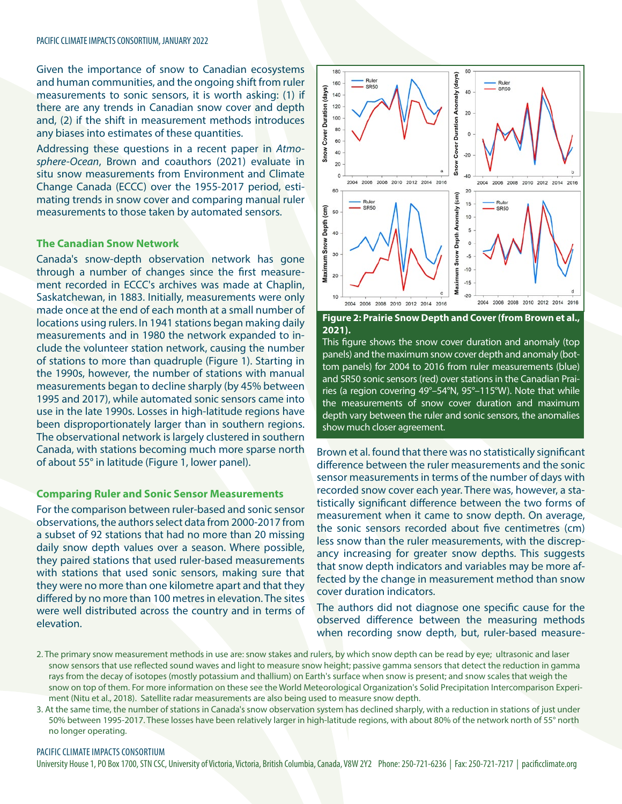Given the importance of snow to Canadian ecosystems and human communities, and the ongoing shift from ruler measurements to sonic sensors, it is worth asking: (1) if there are any trends in Canadian snow cover and depth and, (2) if the shift in measurement methods introduces any biases into estimates of these quantities.

Addressing these questions in a recent paper in *Atmosphere-Ocean*, Brown and coauthors (2021) evaluate in situ snow measurements from Environment and Climate Change Canada (ECCC) over the 1955-2017 period, estimating trends in snow cover and comparing manual ruler measurements to those taken by automated sensors.

## **The Canadian Snow Network**

Canada's snow-depth observation network has gone through a number of changes since the first measurement recorded in ECCC's archives was made at Chaplin, Saskatchewan, in 1883. Initially, measurements were only made once at the end of each month at a small number of locations using rulers. In 1941 stations began making daily measurements and in 1980 the network expanded to include the volunteer station network, causing the number of stations to more than quadruple (Figure 1). Starting in the 1990s, however, the number of stations with manual measurements began to decline sharply (by 45% between 1995 and 2017), while automated sonic sensors came into use in the late 1990s. Losses in high-latitude regions have been disproportionately larger than in southern regions. The observational network is largely clustered in southern Canada, with stations becoming much more sparse north of about 55° in latitude (Figure 1, lower panel).

## **Comparing Ruler and Sonic Sensor Measurements**

For the comparison between ruler-based and sonic sensor observations, the authors select data from 2000-2017 from a subset of 92 stations that had no more than 20 missing daily snow depth values over a season. Where possible, they paired stations that used ruler-based measurements with stations that used sonic sensors, making sure that they were no more than one kilometre apart and that they differed by no more than 100 metres in elevation. The sites were well distributed across the country and in terms of elevation.



### **Figure 2: Prairie Snow Depth and Cover (from Brown et al., 2021).**

This figure shows the snow cover duration and anomaly (top panels) and the maximum snow cover depth and anomaly (bottom panels) for 2004 to 2016 from ruler measurements (blue) and SR50 sonic sensors (red) over stations in the Canadian Prairies (a region covering 49°–54°N, 95°–115°W). Note that while the measurements of snow cover duration and maximum depth vary between the ruler and sonic sensors, the anomalies show much closer agreement.

Brown et al. found that there was no statistically significant difference between the ruler measurements and the sonic sensor measurements in terms of the number of days with recorded snow cover each year. There was, however, a statistically significant difference between the two forms of measurement when it came to snow depth. On average, the sonic sensors recorded about five centimetres (cm) less snow than the ruler measurements, with the discrepancy increasing for greater snow depths. This suggests that snow depth indicators and variables may be more affected by the change in measurement method than snow cover duration indicators.

The authors did not diagnose one specific cause for the observed difference between the measuring methods when recording snow depth, but, ruler-based measure-

- 2. The primary snow measurement methods in use are: snow stakes and rulers, by which snow depth can be read by eye; ultrasonic and laser snow sensors that use reflected sound waves and light to measure snow height; passive gamma sensors that detect the reduction in gamma rays from the decay of isotopes (mostly potassium and thallium) on Earth's surface when snow is present; and snow scales that weigh the snow on top of them. For more information on these see the World Meteorological Organization's Solid Precipitation Intercomparison Experiment (Nitu et al., 2018). Satellite radar measurements are also being used to measure snow depth.
- 3. At the same time, the number of stations in Canada's snow observation system has declined sharply, with a reduction in stations of just under 50% between 1995-2017. These losses have been relatively larger in high-latitude regions, with about 80% of the network north of 55° north no longer operating.

#### PACIFIC CLIMATE IMPACTS CONSORTIUM

University House 1, PO Box 1700, STN CSC, University of Victoria, Victoria, British Columbia, Canada, V8W 2Y2 Phone: 250-721-6236 | Fax: 250-721-7217 | pacificclimate.org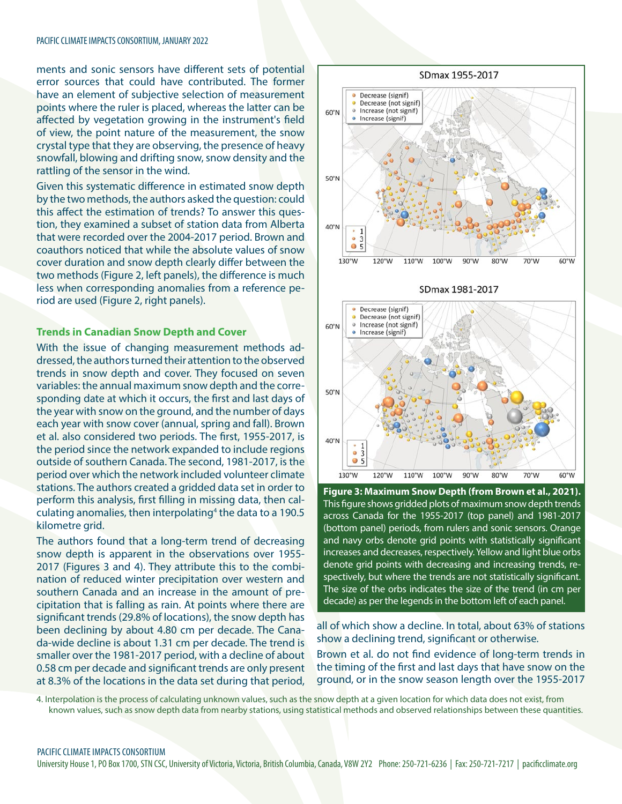ments and sonic sensors have different sets of potential error sources that could have contributed. The former have an element of subjective selection of measurement points where the ruler is placed, whereas the latter can be affected by vegetation growing in the instrument's field of view, the point nature of the measurement, the snow crystal type that they are observing, the presence of heavy snowfall, blowing and drifting snow, snow density and the rattling of the sensor in the wind.

Given this systematic difference in estimated snow depth by the two methods, the authors asked the question: could this affect the estimation of trends? To answer this question, they examined a subset of station data from Alberta that were recorded over the 2004-2017 period. Brown and coauthors noticed that while the absolute values of snow cover duration and snow depth clearly differ between the two methods (Figure 2, left panels), the difference is much less when corresponding anomalies from a reference period are used (Figure 2, right panels).

## **Trends in Canadian Snow Depth and Cover**

With the issue of changing measurement methods addressed, the authors turned their attention to the observed trends in snow depth and cover. They focused on seven variables: the annual maximum snow depth and the corresponding date at which it occurs, the first and last days of the year with snow on the ground, and the number of days each year with snow cover (annual, spring and fall). Brown et al. also considered two periods. The first, 1955-2017, is the period since the network expanded to include regions outside of southern Canada. The second, 1981-2017, is the period over which the network included volunteer climate stations. The authors created a gridded data set in order to perform this analysis, first filling in missing data, then calculating anomalies, then interpolating<sup>4</sup> the data to a 190.5 kilometre grid.

The authors found that a long-term trend of decreasing snow depth is apparent in the observations over 1955- 2017 (Figures 3 and 4). They attribute this to the combination of reduced winter precipitation over western and southern Canada and an increase in the amount of precipitation that is falling as rain. At points where there are significant trends (29.8% of locations), the snow depth has been declining by about 4.80 cm per decade. The Canada-wide decline is about 1.31 cm per decade. The trend is smaller over the 1981-2017 period, with a decline of about 0.58 cm per decade and significant trends are only present at 8.3% of the locations in the data set during that period,



SDmax 1981-2017



**Figure 3: Maximum Snow Depth (from Brown et al., 2021).**  This figure shows gridded plots of maximum snow depth trends across Canada for the 1955-2017 (top panel) and 1981-2017 (bottom panel) periods, from rulers and sonic sensors. Orange and navy orbs denote grid points with statistically significant increases and decreases, respectively. Yellow and light blue orbs denote grid points with decreasing and increasing trends, respectively, but where the trends are not statistically significant. The size of the orbs indicates the size of the trend (in cm per decade) as per the legends in the bottom left of each panel.

all of which show a decline. In total, about 63% of stations show a declining trend, significant or otherwise.

Brown et al. do not find evidence of long-term trends in the timing of the first and last days that have snow on the ground, or in the snow season length over the 1955-2017

4. Interpolation is the process of calculating unknown values, such as the snow depth at a given location for which data does not exist, from known values, such as snow depth data from nearby stations, using statistical methods and observed relationships between these quantities.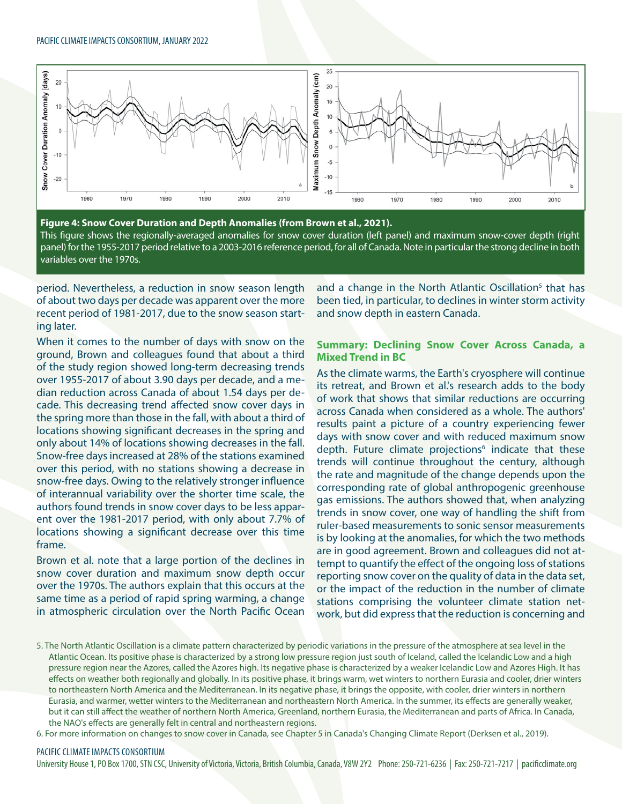

**Figure 4: Snow Cover Duration and Depth Anomalies (from Brown et al., 2021).**  This figure shows the regionally-averaged anomalies for snow cover duration (left panel) and maximum snow-cover depth (right panel) for the 1955-2017 period relative to a 2003-2016 reference period, for all of Canada. Note in particular the strong decline in both variables over the 1970s.

period. Nevertheless, a reduction in snow season length of about two days per decade was apparent over the more recent period of 1981-2017, due to the snow season starting later.

When it comes to the number of days with snow on the ground, Brown and colleagues found that about a third of the study region showed long-term decreasing trends over 1955-2017 of about 3.90 days per decade, and a median reduction across Canada of about 1.54 days per decade. This decreasing trend affected snow cover days in the spring more than those in the fall, with about a third of locations showing significant decreases in the spring and only about 14% of locations showing decreases in the fall. Snow-free days increased at 28% of the stations examined over this period, with no stations showing a decrease in snow-free days. Owing to the relatively stronger influence of interannual variability over the shorter time scale, the authors found trends in snow cover days to be less apparent over the 1981-2017 period, with only about 7.7% of locations showing a significant decrease over this time frame.

Brown et al. note that a large portion of the declines in snow cover duration and maximum snow depth occur over the 1970s. The authors explain that this occurs at the same time as a period of rapid spring warming, a change in atmospheric circulation over the North Pacific Ocean

and a change in the North Atlantic Oscillation<sup>5</sup> that has been tied, in particular, to declines in winter storm activity and snow depth in eastern Canada.

## **Summary: Declining Snow Cover Across Canada, a Mixed Trend in BC**

As the climate warms, the Earth's cryosphere will continue its retreat, and Brown et al.'s research adds to the body of work that shows that similar reductions are occurring across Canada when considered as a whole. The authors' results paint a picture of a country experiencing fewer days with snow cover and with reduced maximum snow depth. Future climate projections<sup>6</sup> indicate that these trends will continue throughout the century, although the rate and magnitude of the change depends upon the corresponding rate of global anthropogenic greenhouse gas emissions. The authors showed that, when analyzing trends in snow cover, one way of handling the shift from ruler-based measurements to sonic sensor measurements is by looking at the anomalies, for which the two methods are in good agreement. Brown and colleagues did not attempt to quantify the effect of the ongoing loss of stations reporting snow cover on the quality of data in the data set, or the impact of the reduction in the number of climate stations comprising the volunteer climate station network, but did express that the reduction is concerning and

6. For more information on changes to snow cover in Canada, see Chapter 5 in Canada's Changing Climate Report (Derksen et al., 2019).

#### PACIFIC CLIMATE IMPACTS CONSORTIUM

University House 1, PO Box 1700, STN CSC, University of Victoria, Victoria, British Columbia, Canada, V8W 2Y2 Phone: 250-721-6236 | Fax: 250-721-7217 | pacificclimate.org

<sup>5.</sup> The North Atlantic Oscillation is a climate pattern characterized by periodic variations in the pressure of the atmosphere at sea level in the Atlantic Ocean. Its positive phase is characterized by a strong low pressure region just south of Iceland, called the Icelandic Low and a high pressure region near the Azores, called the Azores high. Its negative phase is characterized by a weaker Icelandic Low and Azores High. It has effects on weather both regionally and globally. In its positive phase, it brings warm, wet winters to northern Eurasia and cooler, drier winters to northeastern North America and the Mediterranean. In its negative phase, it brings the opposite, with cooler, drier winters in northern Eurasia, and warmer, wetter winters to the Mediterranean and northeastern North America. In the summer, its effects are generally weaker, but it can still affect the weather of northern North America, Greenland, northern Eurasia, the Mediterranean and parts of Africa. In Canada, the NAO's effects are generally felt in central and northeastern regions.